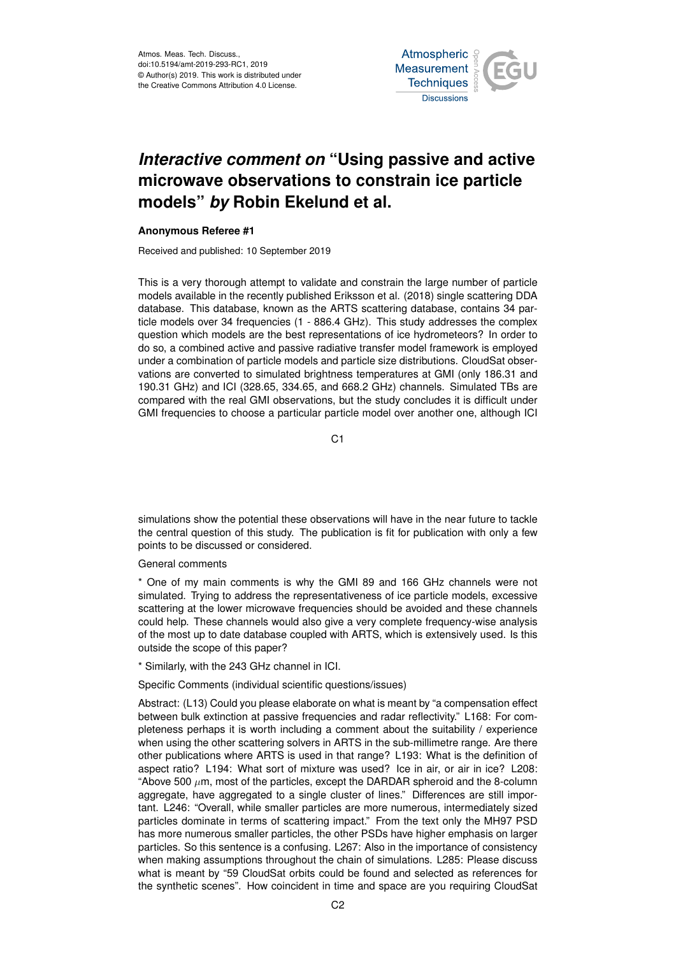Atmos. Meas. Tech. Discuss., doi:10.5194/amt-2019-293-RC1, 2019 © Author(s) 2019. This work is distributed under the Creative Commons Attribution 4.0 License.



## *Interactive comment on* **"Using passive and active microwave observations to constrain ice particle models"** *by* **Robin Ekelund et al.**

## **Anonymous Referee #1**

Received and published: 10 September 2019

This is a very thorough attempt to validate and constrain the large number of particle models available in the recently published Eriksson et al. (2018) single scattering DDA database. This database, known as the ARTS scattering database, contains 34 particle models over 34 frequencies (1 - 886.4 GHz). This study addresses the complex question which models are the best representations of ice hydrometeors? In order to do so, a combined active and passive radiative transfer model framework is employed under a combination of particle models and particle size distributions. CloudSat observations are converted to simulated brightness temperatures at GMI (only 186.31 and 190.31 GHz) and ICI (328.65, 334.65, and 668.2 GHz) channels. Simulated TBs are compared with the real GMI observations, but the study concludes it is difficult under GMI frequencies to choose a particular particle model over another one, although ICI

 $C<sub>1</sub>$ 

simulations show the potential these observations will have in the near future to tackle the central question of this study. The publication is fit for publication with only a few points to be discussed or considered.

General comments

\* One of my main comments is why the GMI 89 and 166 GHz channels were not simulated. Trying to address the representativeness of ice particle models, excessive scattering at the lower microwave frequencies should be avoided and these channels could help. These channels would also give a very complete frequency-wise analysis of the most up to date database coupled with ARTS, which is extensively used. Is this outside the scope of this paper?

\* Similarly, with the 243 GHz channel in ICI.

Specific Comments (individual scientific questions/issues)

Abstract: (L13) Could you please elaborate on what is meant by "a compensation effect between bulk extinction at passive frequencies and radar reflectivity." L168: For completeness perhaps it is worth including a comment about the suitability / experience when using the other scattering solvers in ARTS in the sub-millimetre range. Are there other publications where ARTS is used in that range? L193: What is the definition of aspect ratio? L194: What sort of mixture was used? Ice in air, or air in ice? L208: "Above 500  $\mu$ m, most of the particles, except the DARDAR spheroid and the 8-column aggregate, have aggregated to a single cluster of lines." Differences are still important. L246: "Overall, while smaller particles are more numerous, intermediately sized particles dominate in terms of scattering impact." From the text only the MH97 PSD has more numerous smaller particles, the other PSDs have higher emphasis on larger particles. So this sentence is a confusing. L267: Also in the importance of consistency when making assumptions throughout the chain of simulations. L285: Please discuss what is meant by "59 CloudSat orbits could be found and selected as references for the synthetic scenes". How coincident in time and space are you requiring CloudSat